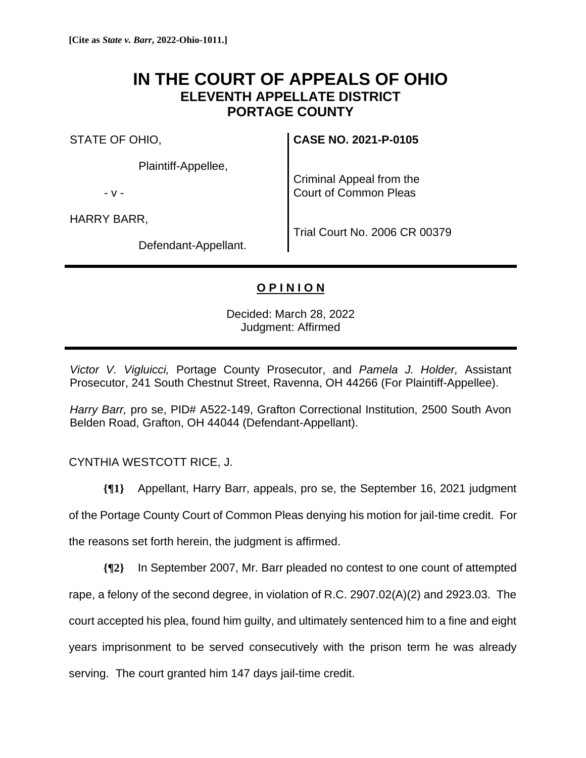## **IN THE COURT OF APPEALS OF OHIO ELEVENTH APPELLATE DISTRICT PORTAGE COUNTY**

STATE OF OHIO,

Plaintiff-Appellee,

- v -

HARRY BARR,

**CASE NO. 2021-P-0105**

Criminal Appeal from the Court of Common Pleas

Defendant-Appellant.

Trial Court No. 2006 CR 00379

## **O P I N I O N**

Decided: March 28, 2022 Judgment: Affirmed

*Victor V. Vigluicci,* Portage County Prosecutor, and *Pamela J. Holder,* Assistant Prosecutor, 241 South Chestnut Street, Ravenna, OH 44266 (For Plaintiff-Appellee).

*Harry Barr,* pro se, PID# A522-149, Grafton Correctional Institution, 2500 South Avon Belden Road, Grafton, OH 44044 (Defendant-Appellant).

CYNTHIA WESTCOTT RICE, J.

**{¶1}** Appellant, Harry Barr, appeals, pro se, the September 16, 2021 judgment of the Portage County Court of Common Pleas denying his motion for jail-time credit. For the reasons set forth herein, the judgment is affirmed.

**{¶2}** In September 2007, Mr. Barr pleaded no contest to one count of attempted rape, a felony of the second degree, in violation of R.C. 2907.02(A)(2) and 2923.03. The court accepted his plea, found him guilty, and ultimately sentenced him to a fine and eight years imprisonment to be served consecutively with the prison term he was already serving. The court granted him 147 days jail-time credit.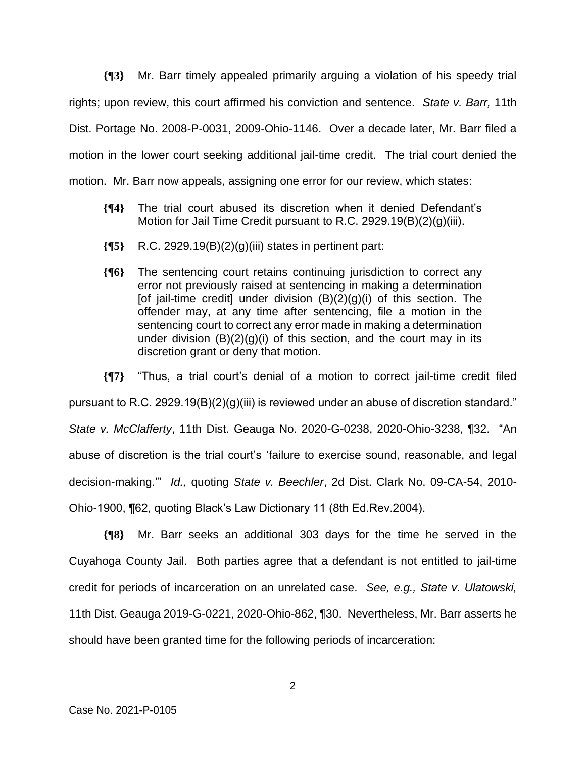**{¶3}** Mr. Barr timely appealed primarily arguing a violation of his speedy trial rights; upon review, this court affirmed his conviction and sentence. *State v. Barr,* 11th Dist. Portage No. 2008-P-0031, 2009-Ohio-1146. Over a decade later, Mr. Barr filed a motion in the lower court seeking additional jail-time credit. The trial court denied the motion. Mr. Barr now appeals, assigning one error for our review, which states:

- **{¶4}** The trial court abused its discretion when it denied Defendant's Motion for Jail Time Credit pursuant to R.C. 2929.19(B)(2)(g)(iii).
- **{¶5}** R.C. 2929.19(B)(2)(g)(iii) states in pertinent part:
- **{¶6}** The sentencing court retains continuing jurisdiction to correct any error not previously raised at sentencing in making a determination [of jail-time credit] under division  $(B)(2)(g)(i)$  of this section. The offender may, at any time after sentencing, file a motion in the sentencing court to correct any error made in making a determination under division  $(B)(2)(g)(i)$  of this section, and the court may in its discretion grant or deny that motion.

**{¶7}** "Thus, a trial court's denial of a motion to correct jail-time credit filed pursuant to R.C. 2929.19(B)(2)(g)(iii) is reviewed under an abuse of discretion standard." *State v. McClafferty*, 11th Dist. Geauga No. 2020-G-0238, 2020-Ohio-3238, ¶32. "An abuse of discretion is the trial court's 'failure to exercise sound, reasonable, and legal decision-making.'" *Id.,* quoting *State v. Beechler*, 2d Dist. Clark No. 09-CA-54, 2010- Ohio-1900, ¶62, quoting Black's Law Dictionary 11 (8th Ed.Rev.2004).

**{¶8}** Mr. Barr seeks an additional 303 days for the time he served in the Cuyahoga County Jail. Both parties agree that a defendant is not entitled to jail-time credit for periods of incarceration on an unrelated case. *See, e.g., State v. Ulatowski,*  11th Dist. Geauga 2019-G-0221, 2020-Ohio-862, ¶30. Nevertheless, Mr. Barr asserts he should have been granted time for the following periods of incarceration: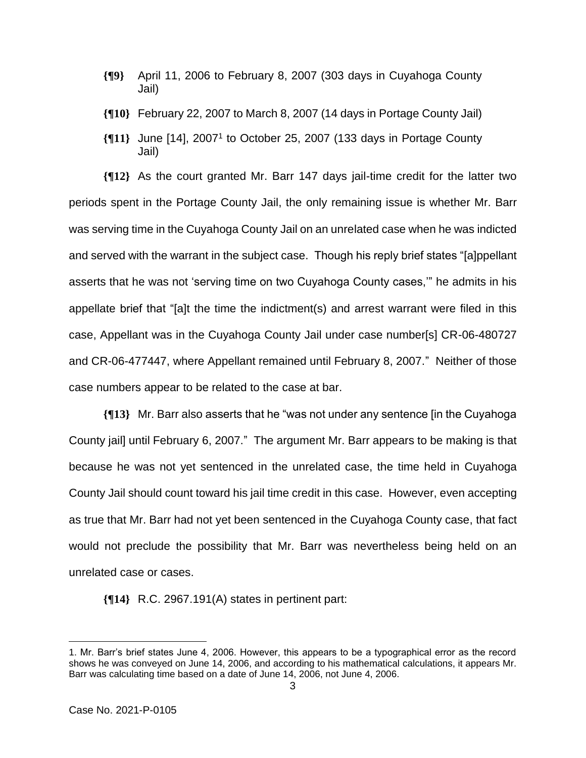- **{¶9}** April 11, 2006 to February 8, 2007 (303 days in Cuyahoga County Jail)
- **{¶10}** February 22, 2007 to March 8, 2007 (14 days in Portage County Jail)
- **{¶11}** June [14], 2007<sup>1</sup> to October 25, 2007 (133 days in Portage County Jail)

**{¶12}** As the court granted Mr. Barr 147 days jail-time credit for the latter two periods spent in the Portage County Jail, the only remaining issue is whether Mr. Barr was serving time in the Cuyahoga County Jail on an unrelated case when he was indicted and served with the warrant in the subject case. Though his reply brief states "[a]ppellant asserts that he was not 'serving time on two Cuyahoga County cases,'" he admits in his appellate brief that "[a]t the time the indictment(s) and arrest warrant were filed in this case, Appellant was in the Cuyahoga County Jail under case number[s] CR-06-480727 and CR-06-477447, where Appellant remained until February 8, 2007." Neither of those case numbers appear to be related to the case at bar.

**{¶13}** Mr. Barr also asserts that he "was not under any sentence [in the Cuyahoga County jail] until February 6, 2007." The argument Mr. Barr appears to be making is that because he was not yet sentenced in the unrelated case, the time held in Cuyahoga County Jail should count toward his jail time credit in this case. However, even accepting as true that Mr. Barr had not yet been sentenced in the Cuyahoga County case, that fact would not preclude the possibility that Mr. Barr was nevertheless being held on an unrelated case or cases.

**{¶14}** R.C. 2967.191(A) states in pertinent part:

<sup>1.</sup> Mr. Barr's brief states June 4, 2006. However, this appears to be a typographical error as the record shows he was conveyed on June 14, 2006, and according to his mathematical calculations, it appears Mr. Barr was calculating time based on a date of June 14, 2006, not June 4, 2006.